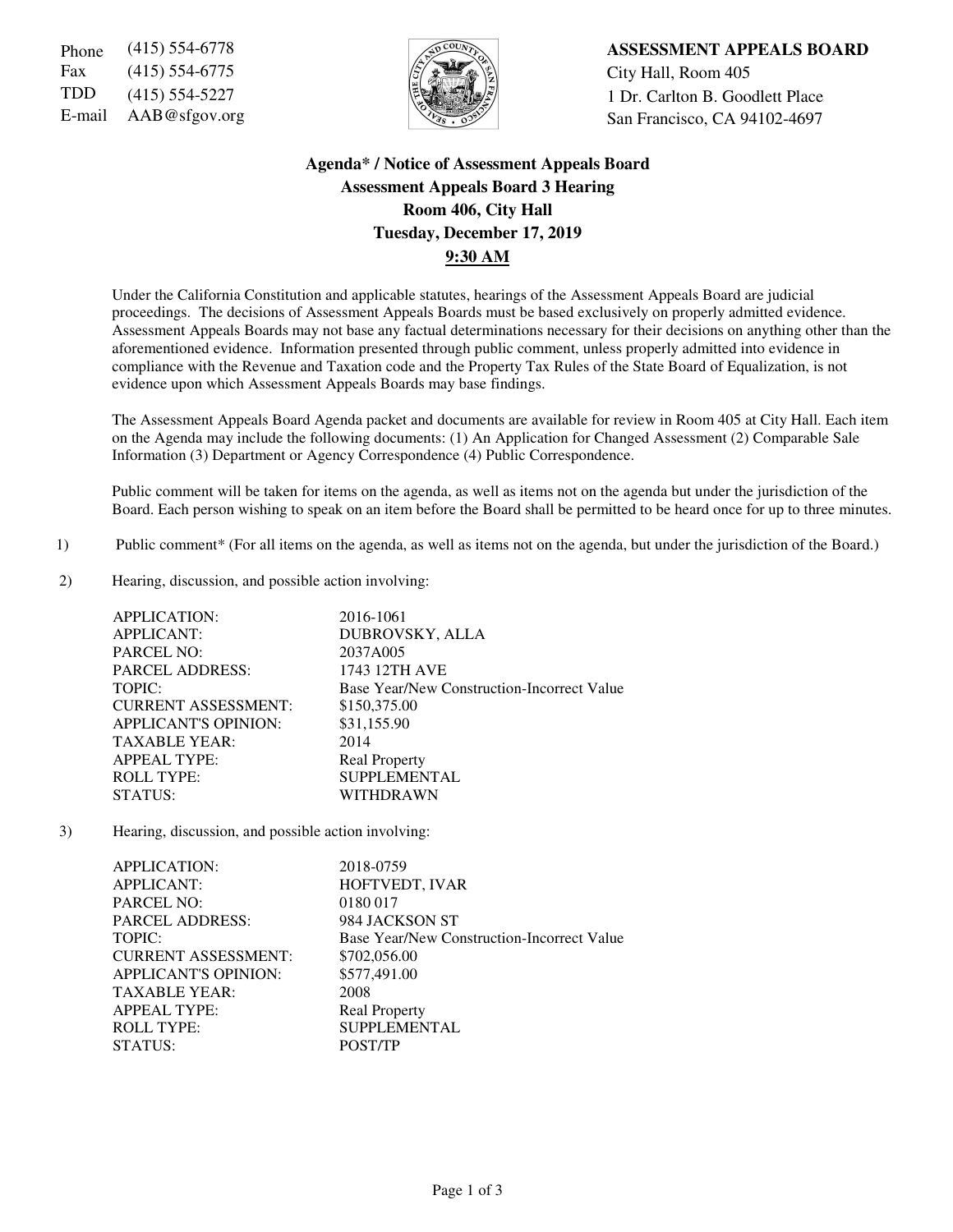Fax (415) 554-6775  $\sqrt{5}$   $\sqrt{2}$   $\sqrt{2}$   $\sqrt{2}$  City Hall, Room 405



Phone (415) 554-6778 **ASSESSMENT APPEALS BOARD** TDD (415) 554-5227  $\left|\frac{1}{2}\right|$  1 Dr. Carlton B. Goodlett Place E-mail AAB@sfgov.org San Francisco, CA 94102-4697

# **Agenda\* / Notice of Assessment Appeals Board Assessment Appeals Board 3 Hearing Room 406, City Hall Tuesday, December 17, 2019 9:30 AM**

Under the California Constitution and applicable statutes, hearings of the Assessment Appeals Board are judicial proceedings. The decisions of Assessment Appeals Boards must be based exclusively on properly admitted evidence. Assessment Appeals Boards may not base any factual determinations necessary for their decisions on anything other than the aforementioned evidence. Information presented through public comment, unless properly admitted into evidence in compliance with the Revenue and Taxation code and the Property Tax Rules of the State Board of Equalization, is not evidence upon which Assessment Appeals Boards may base findings.

The Assessment Appeals Board Agenda packet and documents are available for review in Room 405 at City Hall. Each item on the Agenda may include the following documents: (1) An Application for Changed Assessment (2) Comparable Sale Information (3) Department or Agency Correspondence (4) Public Correspondence.

Public comment will be taken for items on the agenda, as well as items not on the agenda but under the jurisdiction of the Board. Each person wishing to speak on an item before the Board shall be permitted to be heard once for up to three minutes.

- 1) Public comment\* (For all items on the agenda, as well as items not on the agenda, but under the jurisdiction of the Board.)
- 2) Hearing, discussion, and possible action involving:

| <b>APPLICATION:</b>         | 2016-1061                                  |
|-----------------------------|--------------------------------------------|
| <b>APPLICANT:</b>           | DUBROVSKY, ALLA                            |
| <b>PARCEL NO:</b>           | 2037A005                                   |
| <b>PARCEL ADDRESS:</b>      | 1743 12TH AVE                              |
| TOPIC:                      | Base Year/New Construction-Incorrect Value |
| <b>CURRENT ASSESSMENT:</b>  | \$150,375.00                               |
| <b>APPLICANT'S OPINION:</b> | \$31,155.90                                |
| <b>TAXABLE YEAR:</b>        | 2014                                       |
| <b>APPEAL TYPE:</b>         | <b>Real Property</b>                       |
| <b>ROLL TYPE:</b>           | <b>SUPPLEMENTAL</b>                        |
| <b>STATUS:</b>              | WITHDRAWN                                  |

3) Hearing, discussion, and possible action involving:

| <b>APPLICATION:</b>         | 2018-0759                                  |
|-----------------------------|--------------------------------------------|
| <b>APPLICANT:</b>           | HOFTVEDT, IVAR                             |
| <b>PARCEL NO:</b>           | 0180 017                                   |
| <b>PARCEL ADDRESS:</b>      | 984 JACKSON ST                             |
| TOPIC:                      | Base Year/New Construction-Incorrect Value |
| <b>CURRENT ASSESSMENT:</b>  | \$702,056.00                               |
| <b>APPLICANT'S OPINION:</b> | \$577,491.00                               |
| <b>TAXABLE YEAR:</b>        | 2008                                       |
| <b>APPEAL TYPE:</b>         | <b>Real Property</b>                       |
| <b>ROLL TYPE:</b>           | <b>SUPPLEMENTAL</b>                        |
| STATUS:                     | POST/TP                                    |
|                             |                                            |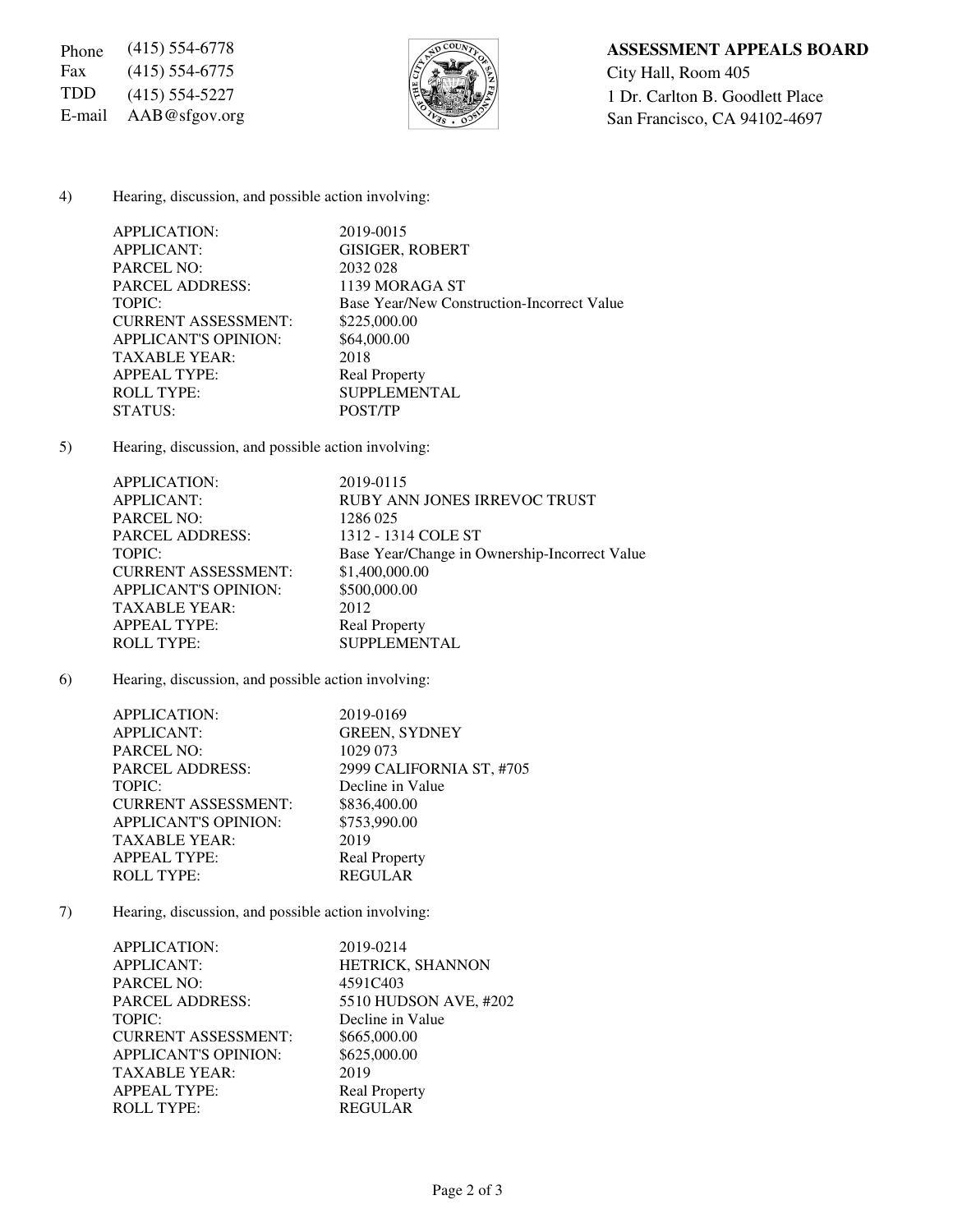Fax (415) 554-6775  $\sqrt{\frac{5}{2}}$  City Hall, Room 405



## 4) Hearing, discussion, and possible action involving:

| APPLICATION:                | 2019-0015                                  |
|-----------------------------|--------------------------------------------|
| <b>APPLICANT:</b>           | <b>GISIGER, ROBERT</b>                     |
| <b>PARCEL NO:</b>           | 2032 028                                   |
| <b>PARCEL ADDRESS:</b>      | 1139 MORAGA ST                             |
| TOPIC:                      | Base Year/New Construction-Incorrect Value |
| <b>CURRENT ASSESSMENT:</b>  | \$225,000.00                               |
| <b>APPLICANT'S OPINION:</b> | \$64,000.00                                |
| <b>TAXABLE YEAR:</b>        | 2018                                       |
| <b>APPEAL TYPE:</b>         | <b>Real Property</b>                       |
| <b>ROLL TYPE:</b>           | <b>SUPPLEMENTAL</b>                        |
| STATUS:                     | POST/TP                                    |

5) Hearing, discussion, and possible action involving:

| <b>APPLICATION:</b>         | 2019-0115                                     |
|-----------------------------|-----------------------------------------------|
| <b>APPLICANT:</b>           | <b>RUBY ANN JONES IRREVOC TRUST</b>           |
| <b>PARCEL NO:</b>           | 1286 025                                      |
| <b>PARCEL ADDRESS:</b>      | 1312 - 1314 COLE ST                           |
| TOPIC:                      | Base Year/Change in Ownership-Incorrect Value |
| <b>CURRENT ASSESSMENT:</b>  | \$1,400,000.00                                |
| <b>APPLICANT'S OPINION:</b> | \$500,000.00                                  |
| <b>TAXABLE YEAR:</b>        | 2012                                          |
| <b>APPEAL TYPE:</b>         | <b>Real Property</b>                          |
| <b>ROLL TYPE:</b>           | <b>SUPPLEMENTAL</b>                           |
|                             |                                               |

6) Hearing, discussion, and possible action involving:

| APPLICATION:                | 2019-0169                |
|-----------------------------|--------------------------|
| <b>APPLICANT:</b>           | <b>GREEN, SYDNEY</b>     |
| <b>PARCEL NO:</b>           | 1029 073                 |
| <b>PARCEL ADDRESS:</b>      | 2999 CALIFORNIA ST, #705 |
| TOPIC:                      | Decline in Value         |
| <b>CURRENT ASSESSMENT:</b>  | \$836,400.00             |
| <b>APPLICANT'S OPINION:</b> | \$753,990.00             |
| <b>TAXABLE YEAR:</b>        | 2019                     |
| <b>APPEAL TYPE:</b>         | <b>Real Property</b>     |
| <b>ROLL TYPE:</b>           | <b>REGULAR</b>           |
|                             |                          |

7) Hearing, discussion, and possible action involving:

| APPLICATION:                | 2019-0214             |
|-----------------------------|-----------------------|
| <b>APPLICANT:</b>           | HETRICK, SHANNON      |
| <b>PARCEL NO:</b>           | 4591C403              |
| <b>PARCEL ADDRESS:</b>      | 5510 HUDSON AVE, #202 |
| TOPIC:                      | Decline in Value      |
| <b>CURRENT ASSESSMENT:</b>  | \$665,000.00          |
| <b>APPLICANT'S OPINION:</b> | \$625,000.00          |
| <b>TAXABLE YEAR:</b>        | 2019                  |
| <b>APPEAL TYPE:</b>         | <b>Real Property</b>  |
| <b>ROLL TYPE:</b>           | <b>REGULAR</b>        |
|                             |                       |